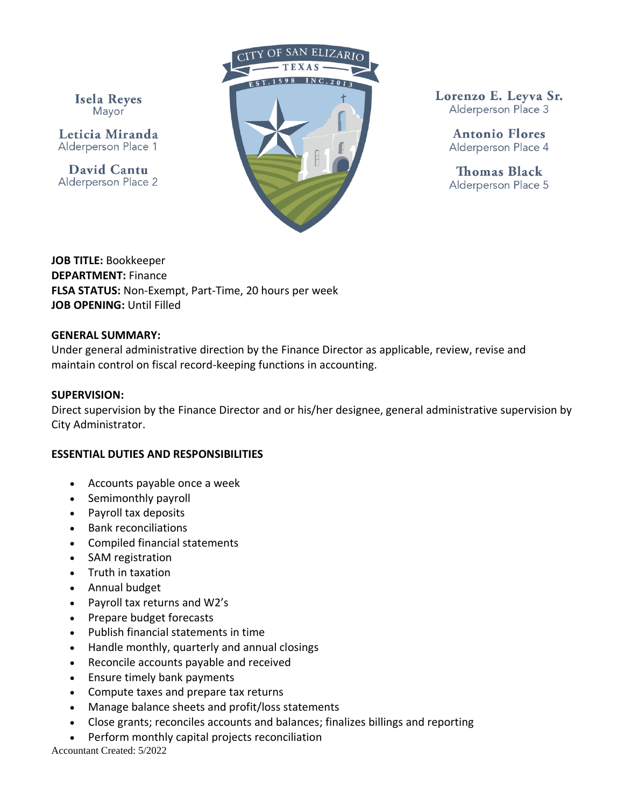**Isela Reyes** Mayor

Leticia Miranda Alderperson Place 1

**David Cantu** Alderperson Place 2



Lorenzo E. Leyva Sr. Alderperson Place 3

> **Antonio Flores** Alderperson Place 4

> **Thomas Black** Alderperson Place 5

**JOB TITLE:** Bookkeeper **DEPARTMENT:** Finance **FLSA STATUS:** Non-Exempt, Part-Time, 20 hours per week **JOB OPENING:** Until Filled

## **GENERAL SUMMARY:**

Under general administrative direction by the Finance Director as applicable, review, revise and maintain control on fiscal record-keeping functions in accounting.

## **SUPERVISION:**

Direct supervision by the Finance Director and or his/her designee, general administrative supervision by City Administrator.

# **ESSENTIAL DUTIES AND RESPONSIBILITIES**

- Accounts payable once a week
- Semimonthly payroll
- Payroll tax deposits
- Bank reconciliations
- Compiled financial statements
- SAM registration
- Truth in taxation
- Annual budget
- Payroll tax returns and W2's
- Prepare budget forecasts
- Publish financial statements in time
- Handle monthly, quarterly and annual closings
- Reconcile accounts payable and received
- Ensure timely bank payments
- Compute taxes and prepare tax returns
- Manage balance sheets and profit/loss statements
- Close grants; reconciles accounts and balances; finalizes billings and reporting
- Perform monthly capital projects reconciliation

Accountant Created: 5/2022